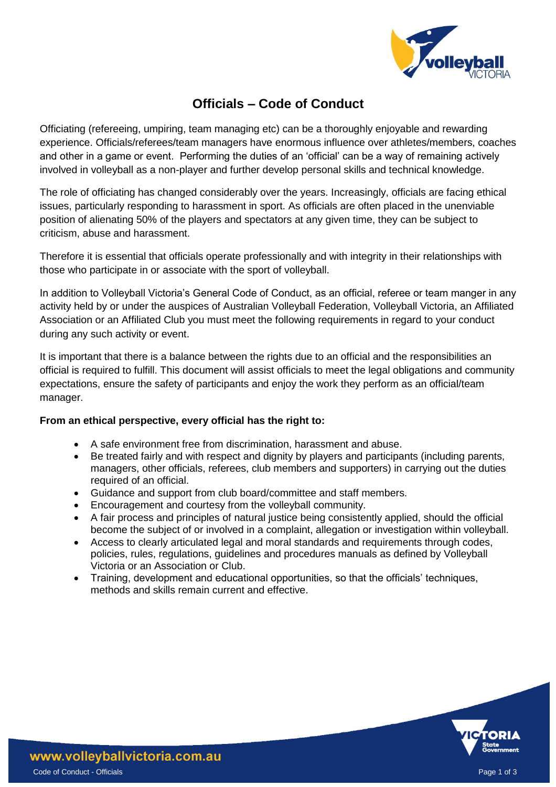

# **Officials – Code of Conduct**

Officiating (refereeing, umpiring, team managing etc) can be a thoroughly enjoyable and rewarding experience. Officials/referees/team managers have enormous influence over athletes/members, coaches and other in a game or event. Performing the duties of an 'official' can be a way of remaining actively involved in volleyball as a non-player and further develop personal skills and technical knowledge.

The role of officiating has changed considerably over the years. Increasingly, officials are facing ethical issues, particularly responding to harassment in sport. As officials are often placed in the unenviable position of alienating 50% of the players and spectators at any given time, they can be subject to criticism, abuse and harassment.

Therefore it is essential that officials operate professionally and with integrity in their relationships with those who participate in or associate with the sport of volleyball.

In addition to Volleyball Victoria's General Code of Conduct, as an official, referee or team manger in any activity held by or under the auspices of Australian Volleyball Federation, Volleyball Victoria, an Affiliated Association or an Affiliated Club you must meet the following requirements in regard to your conduct during any such activity or event.

It is important that there is a balance between the rights due to an official and the responsibilities an official is required to fulfill. This document will assist officials to meet the legal obligations and community expectations, ensure the safety of participants and enjoy the work they perform as an official/team manager.

## **From an ethical perspective, every official has the right to:**

- A safe environment free from discrimination, harassment and abuse.
- Be treated fairly and with respect and dignity by players and participants (including parents, managers, other officials, referees, club members and supporters) in carrying out the duties required of an official.
- Guidance and support from club board/committee and staff members.
- Encouragement and courtesy from the volleyball community.
- A fair process and principles of natural justice being consistently applied, should the official become the subject of or involved in a complaint, allegation or investigation within volleyball.
- Access to clearly articulated legal and moral standards and requirements through codes, policies, rules, regulations, guidelines and procedures manuals as defined by Volleyball Victoria or an Association or Club.
- Training, development and educational opportunities, so that the officials' techniques, methods and skills remain current and effective.

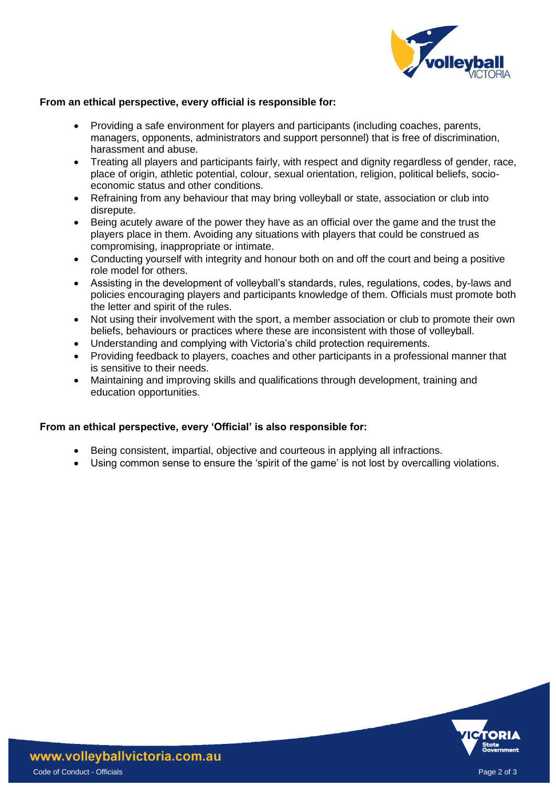

#### **From an ethical perspective, every official is responsible for:**

- Providing a safe environment for players and participants (including coaches, parents, managers, opponents, administrators and support personnel) that is free of discrimination, harassment and abuse.
- Treating all players and participants fairly, with respect and dignity regardless of gender, race, place of origin, athletic potential, colour, sexual orientation, religion, political beliefs, socioeconomic status and other conditions.
- Refraining from any behaviour that may bring volleyball or state, association or club into disrepute.
- Being acutely aware of the power they have as an official over the game and the trust the players place in them. Avoiding any situations with players that could be construed as compromising, inappropriate or intimate.
- Conducting yourself with integrity and honour both on and off the court and being a positive role model for others.
- Assisting in the development of volleyball's standards, rules, regulations, codes, by-laws and policies encouraging players and participants knowledge of them. Officials must promote both the letter and spirit of the rules.
- Not using their involvement with the sport, a member association or club to promote their own beliefs, behaviours or practices where these are inconsistent with those of volleyball.
- Understanding and complying with Victoria's child protection requirements.
- Providing feedback to players, coaches and other participants in a professional manner that is sensitive to their needs.
- Maintaining and improving skills and qualifications through development, training and education opportunities.

## **From an ethical perspective, every 'Official' is also responsible for:**

- Being consistent, impartial, objective and courteous in applying all infractions.
- Using common sense to ensure the 'spirit of the game' is not lost by overcalling violations.